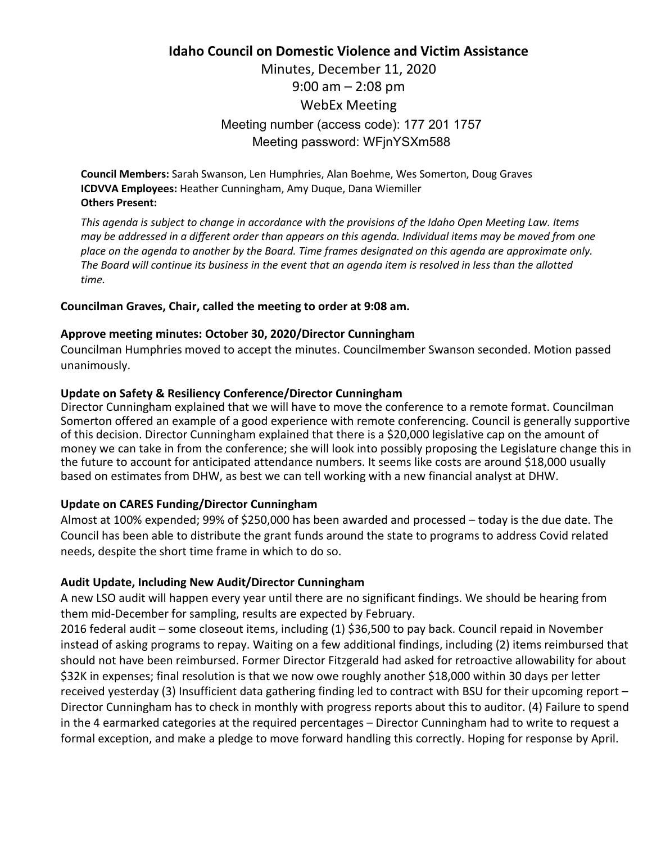# **Idaho Council on Domestic Violence and Victim Assistance**  Minutes, December 11, 2020 9:00 am – 2:08 pm WebEx Meeting Meeting number (access code): 177 201 1757 Meeting password: WFjnYSXm588

**Council Members:** Sarah Swanson, Len Humphries, Alan Boehme, Wes Somerton, Doug Graves **ICDVVA Employees:** Heather Cunningham, Amy Duque, Dana Wiemiller **Others Present:** 

*This agenda is subject to change in accordance with the provisions of the Idaho Open Meeting Law. Items may be addressed in a different order than appears on this agenda. Individual items may be moved from one place on the agenda to another by the Board. Time frames designated on this agenda are approximate only. The Board will continue its business in the event that an agenda item is resolved in less than the allotted time.* 

## **Councilman Graves, Chair, called the meeting to order at 9:08 am.**

### **Approve meeting minutes: October 30, 2020/Director Cunningham**

Councilman Humphries moved to accept the minutes. Councilmember Swanson seconded. Motion passed unanimously.

# **Update on Safety & Resiliency Conference/Director Cunningham**

Director Cunningham explained that we will have to move the conference to a remote format. Councilman Somerton offered an example of a good experience with remote conferencing. Council is generally supportive of this decision. Director Cunningham explained that there is a \$20,000 legislative cap on the amount of money we can take in from the conference; she will look into possibly proposing the Legislature change this in the future to account for anticipated attendance numbers. It seems like costs are around \$18,000 usually based on estimates from DHW, as best we can tell working with a new financial analyst at DHW.

# **Update on CARES Funding/Director Cunningham**

Almost at 100% expended; 99% of \$250,000 has been awarded and processed – today is the due date. The Council has been able to distribute the grant funds around the state to programs to address Covid related needs, despite the short time frame in which to do so.

# **Audit Update, Including New Audit/Director Cunningham**

A new LSO audit will happen every year until there are no significant findings. We should be hearing from them mid-December for sampling, results are expected by February.

2016 federal audit – some closeout items, including (1) \$36,500 to pay back. Council repaid in November instead of asking programs to repay. Waiting on a few additional findings, including (2) items reimbursed that should not have been reimbursed. Former Director Fitzgerald had asked for retroactive allowability for about \$32K in expenses; final resolution is that we now owe roughly another \$18,000 within 30 days per letter received yesterday (3) Insufficient data gathering finding led to contract with BSU for their upcoming report – Director Cunningham has to check in monthly with progress reports about this to auditor. (4) Failure to spend in the 4 earmarked categories at the required percentages – Director Cunningham had to write to request a formal exception, and make a pledge to move forward handling this correctly. Hoping for response by April.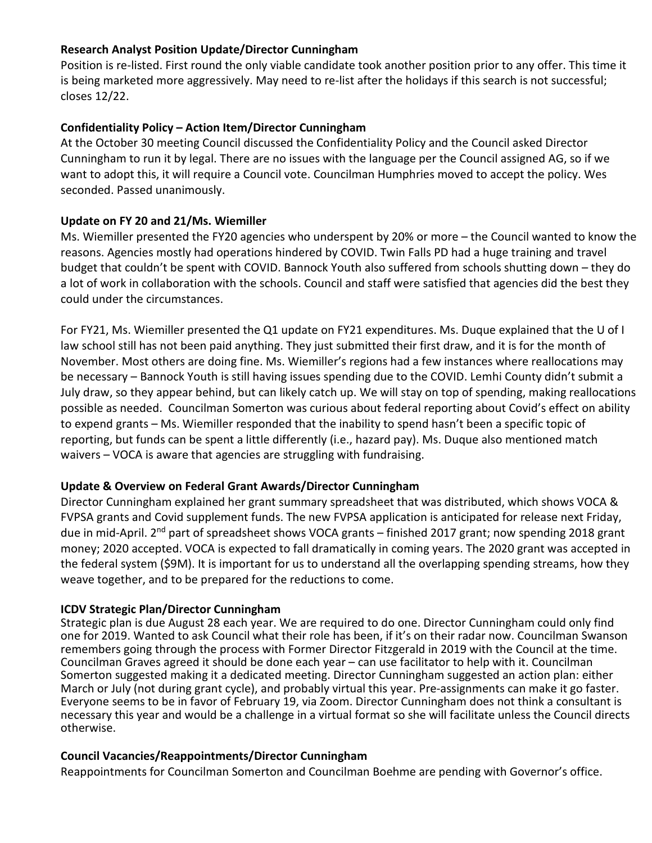## **Research Analyst Position Update/Director Cunningham**

Position is re-listed. First round the only viable candidate took another position prior to any offer. This time it is being marketed more aggressively. May need to re-list after the holidays if this search is not successful; closes 12/22.

## **Confidentiality Policy – Action Item/Director Cunningham**

At the October 30 meeting Council discussed the Confidentiality Policy and the Council asked Director Cunningham to run it by legal. There are no issues with the language per the Council assigned AG, so if we want to adopt this, it will require a Council vote. Councilman Humphries moved to accept the policy. Wes seconded. Passed unanimously.

## **Update on FY 20 and 21/Ms. Wiemiller**

Ms. Wiemiller presented the FY20 agencies who underspent by 20% or more – the Council wanted to know the reasons. Agencies mostly had operations hindered by COVID. Twin Falls PD had a huge training and travel budget that couldn't be spent with COVID. Bannock Youth also suffered from schools shutting down – they do a lot of work in collaboration with the schools. Council and staff were satisfied that agencies did the best they could under the circumstances.

For FY21, Ms. Wiemiller presented the Q1 update on FY21 expenditures. Ms. Duque explained that the U of I law school still has not been paid anything. They just submitted their first draw, and it is for the month of November. Most others are doing fine. Ms. Wiemiller's regions had a few instances where reallocations may be necessary – Bannock Youth is still having issues spending due to the COVID. Lemhi County didn't submit a July draw, so they appear behind, but can likely catch up. We will stay on top of spending, making reallocations possible as needed. Councilman Somerton was curious about federal reporting about Covid's effect on ability to expend grants – Ms. Wiemiller responded that the inability to spend hasn't been a specific topic of reporting, but funds can be spent a little differently (i.e., hazard pay). Ms. Duque also mentioned match waivers – VOCA is aware that agencies are struggling with fundraising.

# **Update & Overview on Federal Grant Awards/Director Cunningham**

Director Cunningham explained her grant summary spreadsheet that was distributed, which shows VOCA & FVPSA grants and Covid supplement funds. The new FVPSA application is anticipated for release next Friday, due in mid-April. 2<sup>nd</sup> part of spreadsheet shows VOCA grants – finished 2017 grant; now spending 2018 grant money; 2020 accepted. VOCA is expected to fall dramatically in coming years. The 2020 grant was accepted in the federal system (\$9M). It is important for us to understand all the overlapping spending streams, how they weave together, and to be prepared for the reductions to come.

### **ICDV Strategic Plan/Director Cunningham**

Strategic plan is due August 28 each year. We are required to do one. Director Cunningham could only find one for 2019. Wanted to ask Council what their role has been, if it's on their radar now. Councilman Swanson remembers going through the process with Former Director Fitzgerald in 2019 with the Council at the time. Councilman Graves agreed it should be done each year – can use facilitator to help with it. Councilman Somerton suggested making it a dedicated meeting. Director Cunningham suggested an action plan: either March or July (not during grant cycle), and probably virtual this year. Pre-assignments can make it go faster. Everyone seems to be in favor of February 19, via Zoom. Director Cunningham does not think a consultant is necessary this year and would be a challenge in a virtual format so she will facilitate unless the Council directs otherwise.

### **Council Vacancies/Reappointments/Director Cunningham**

Reappointments for Councilman Somerton and Councilman Boehme are pending with Governor's office.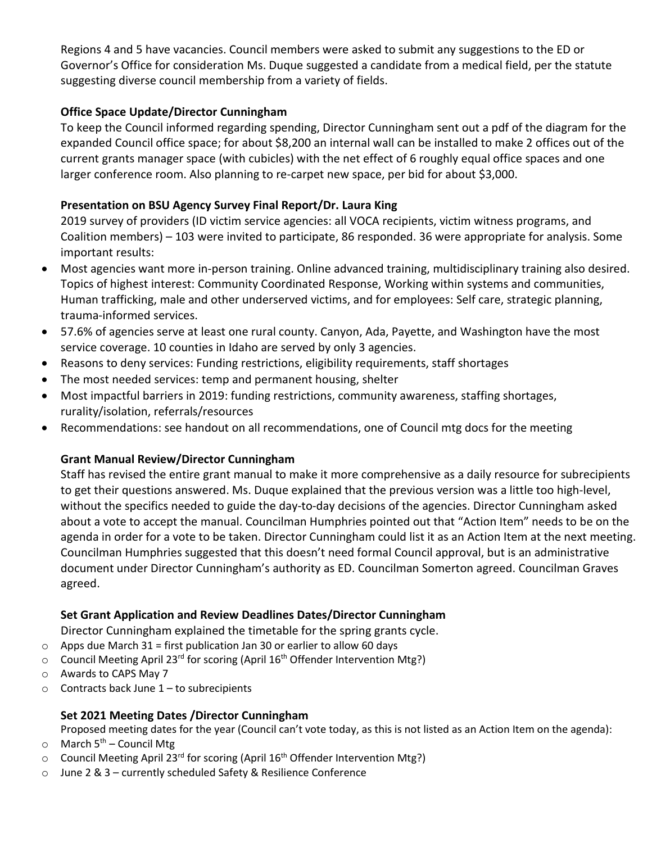Regions 4 and 5 have vacancies. Council members were asked to submit any suggestions to the ED or Governor's Office for consideration Ms. Duque suggested a candidate from a medical field, per the statute suggesting diverse council membership from a variety of fields.

# **Office Space Update/Director Cunningham**

To keep the Council informed regarding spending, Director Cunningham sent out a pdf of the diagram for the expanded Council office space; for about \$8,200 an internal wall can be installed to make 2 offices out of the current grants manager space (with cubicles) with the net effect of 6 roughly equal office spaces and one larger conference room. Also planning to re-carpet new space, per bid for about \$3,000.

# **Presentation on BSU Agency Survey Final Report/Dr. Laura King**

2019 survey of providers (ID victim service agencies: all VOCA recipients, victim witness programs, and Coalition members) – 103 were invited to participate, 86 responded. 36 were appropriate for analysis. Some important results:

- Most agencies want more in-person training. Online advanced training, multidisciplinary training also desired. Topics of highest interest: Community Coordinated Response, Working within systems and communities, Human trafficking, male and other underserved victims, and for employees: Self care, strategic planning, trauma-informed services.
- 57.6% of agencies serve at least one rural county. Canyon, Ada, Payette, and Washington have the most service coverage. 10 counties in Idaho are served by only 3 agencies.
- Reasons to deny services: Funding restrictions, eligibility requirements, staff shortages
- The most needed services: temp and permanent housing, shelter
- Most impactful barriers in 2019: funding restrictions, community awareness, staffing shortages, rurality/isolation, referrals/resources
- Recommendations: see handout on all recommendations, one of Council mtg docs for the meeting

# **Grant Manual Review/Director Cunningham**

Staff has revised the entire grant manual to make it more comprehensive as a daily resource for subrecipients to get their questions answered. Ms. Duque explained that the previous version was a little too high-level, without the specifics needed to guide the day-to-day decisions of the agencies. Director Cunningham asked about a vote to accept the manual. Councilman Humphries pointed out that "Action Item" needs to be on the agenda in order for a vote to be taken. Director Cunningham could list it as an Action Item at the next meeting. Councilman Humphries suggested that this doesn't need formal Council approval, but is an administrative document under Director Cunningham's authority as ED. Councilman Somerton agreed. Councilman Graves agreed.

# **Set Grant Application and Review Deadlines Dates/Director Cunningham**

Director Cunningham explained the timetable for the spring grants cycle.

- $\circ$  Apps due March 31 = first publication Jan 30 or earlier to allow 60 days
- o Council Meeting April 23<sup>rd</sup> for scoring (April 16<sup>th</sup> Offender Intervention Mtg?)
- o Awards to CAPS May 7
- $\circ$  Contracts back June 1 to subrecipients

# **Set 2021 Meeting Dates /Director Cunningham**

Proposed meeting dates for the year (Council can't vote today, as this is not listed as an Action Item on the agenda):

- $\circ$  March 5<sup>th</sup> Council Mtg
- $\circ$  Council Meeting April 23<sup>rd</sup> for scoring (April 16<sup>th</sup> Offender Intervention Mtg?)
- o June 2 & 3 currently scheduled Safety & Resilience Conference